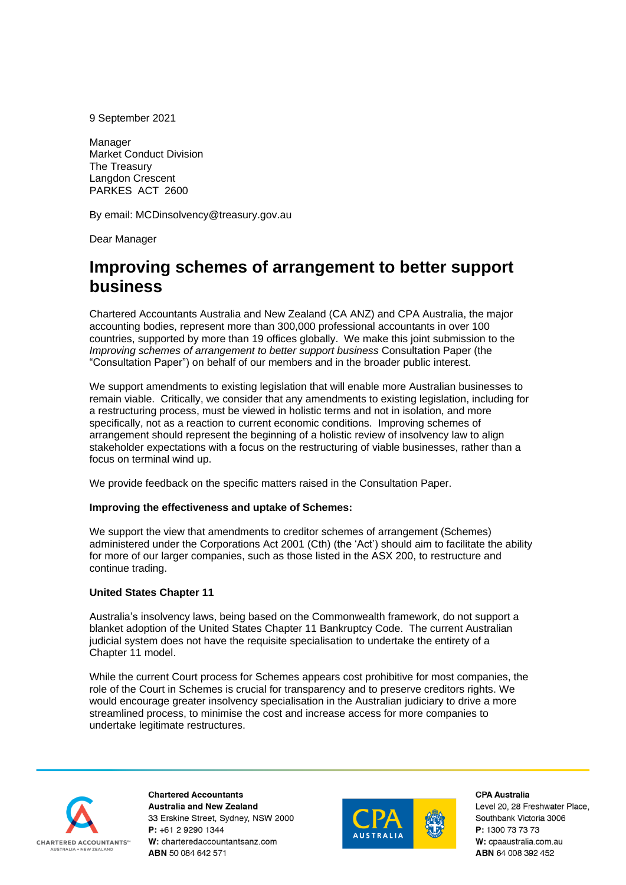9 September 2021

Manager Market Conduct Division The Treasury Langdon Crescent PARKES ACT 2600

By email: MCDinsolvency@treasury.gov.au

Dear Manager

# **Improving schemes of arrangement to better support business**

Chartered Accountants Australia and New Zealand (CA ANZ) and CPA Australia, the major accounting bodies, represent more than 300,000 professional accountants in over 100 countries, supported by more than 19 offices globally. We make this joint submission to the *Improving schemes of arrangement to better support business* Consultation Paper (the "Consultation Paper") on behalf of our members and in the broader public interest.

We support amendments to existing legislation that will enable more Australian businesses to remain viable. Critically, we consider that any amendments to existing legislation, including for a restructuring process, must be viewed in holistic terms and not in isolation, and more specifically, not as a reaction to current economic conditions. Improving schemes of arrangement should represent the beginning of a holistic review of insolvency law to align stakeholder expectations with a focus on the restructuring of viable businesses, rather than a focus on terminal wind up.

We provide feedback on the specific matters raised in the Consultation Paper.

# **Improving the effectiveness and uptake of Schemes:**

We support the view that amendments to creditor schemes of arrangement (Schemes) administered under the Corporations Act 2001 (Cth) (the 'Act') should aim to facilitate the ability for more of our larger companies, such as those listed in the ASX 200, to restructure and continue trading.

# **United States Chapter 11**

Australia's insolvency laws, being based on the Commonwealth framework, do not support a blanket adoption of the United States Chapter 11 Bankruptcy Code. The current Australian judicial system does not have the requisite specialisation to undertake the entirety of a Chapter 11 model.

While the current Court process for Schemes appears cost prohibitive for most companies, the role of the Court in Schemes is crucial for transparency and to preserve creditors rights. We would encourage greater insolvency specialisation in the Australian judiciary to drive a more streamlined process, to minimise the cost and increase access for more companies to undertake legitimate restructures.



**Chartered Accountants Australia and New Zealand** 33 Erskine Street. Svdnev. NSW 2000 P: +61 2 9290 1344 W: charteredaccountantsanz.com ABN 50 084 642 571



CPA Australia

Level 20, 28 Freshwater Place, Southbank Victoria 3006  $P: 1300$  73 73 73 W: cpaaustralia.com.au ABN 64 008 392 452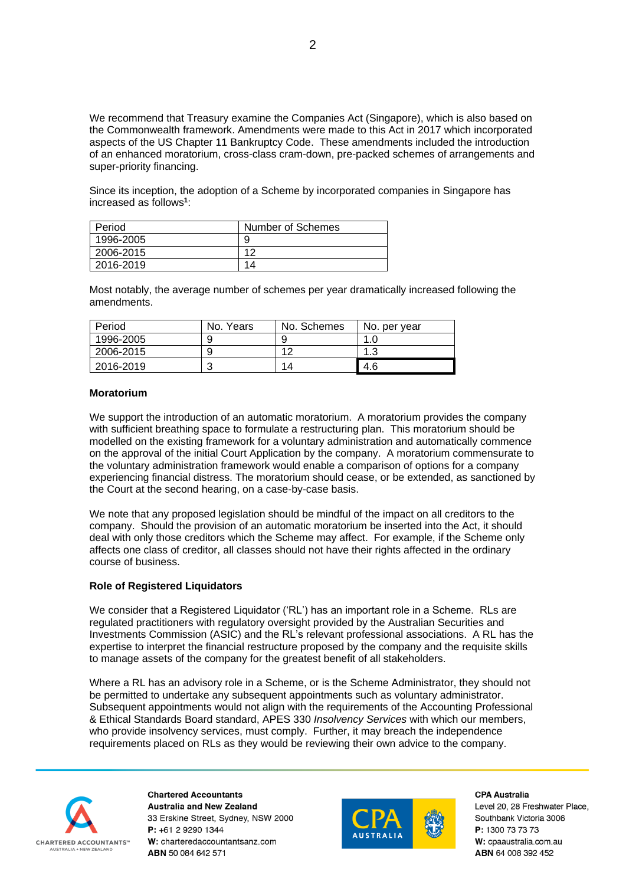We recommend that Treasury examine the Companies Act (Singapore), which is also based on the Commonwealth framework. Amendments were made to this Act in 2017 which incorporated aspects of the US Chapter 11 Bankruptcy Code. These amendments included the introduction of an enhanced moratorium, cross-class cram-down, pre-packed schemes of arrangements and super-priority financing.

Since its inception, the adoption of a Scheme by incorporated companies in Singapore has increased as follows**<sup>1</sup>** :

| Period    | Number of Schemes |  |
|-----------|-------------------|--|
| 1996-2005 | 9                 |  |
| 2006-2015 | 10                |  |
| 2016-2019 | 14                |  |

Most notably, the average number of schemes per year dramatically increased following the amendments.

| Period    | No. Years | No. Schemes | No. per year |
|-----------|-----------|-------------|--------------|
| 1996-2005 |           | g           |              |
| 2006-2015 |           | 10          | 12<br>ن. ا   |
| 2016-2019 | ີ         | 14          | 4.6          |

## **Moratorium**

We support the introduction of an automatic moratorium. A moratorium provides the company with sufficient breathing space to formulate a restructuring plan. This moratorium should be modelled on the existing framework for a voluntary administration and automatically commence on the approval of the initial Court Application by the company. A moratorium commensurate to the voluntary administration framework would enable a comparison of options for a company experiencing financial distress. The moratorium should cease, or be extended, as sanctioned by the Court at the second hearing, on a case-by-case basis.

We note that any proposed legislation should be mindful of the impact on all creditors to the company. Should the provision of an automatic moratorium be inserted into the Act, it should deal with only those creditors which the Scheme may affect. For example, if the Scheme only affects one class of creditor, all classes should not have their rights affected in the ordinary course of business.

## **Role of Registered Liquidators**

We consider that a Registered Liquidator ('RL') has an important role in a Scheme. RLs are regulated practitioners with regulatory oversight provided by the Australian Securities and Investments Commission (ASIC) and the RL's relevant professional associations. A RL has the expertise to interpret the financial restructure proposed by the company and the requisite skills to manage assets of the company for the greatest benefit of all stakeholders.

Where a RL has an advisory role in a Scheme, or is the Scheme Administrator, they should not be permitted to undertake any subsequent appointments such as voluntary administrator. Subsequent appointments would not align with the requirements of the Accounting Professional & Ethical Standards Board standard, APES 330 *Insolvency Services* with which our members, who provide insolvency services, must comply. Further, it may breach the independence requirements placed on RLs as they would be reviewing their own advice to the company.



**Chartered Accountants Australia and New Zealand** 33 Erskine Street, Sydney, NSW 2000 P: +61 2 9290 1344 W: charteredaccountantsanz.com ABN 50 084 642 571



CPA Australia

Level 20, 28 Freshwater Place, Southbank Victoria 3006 P: 1300 73 73 73 W: cpaaustralia.com.au ABN 64 008 392 452